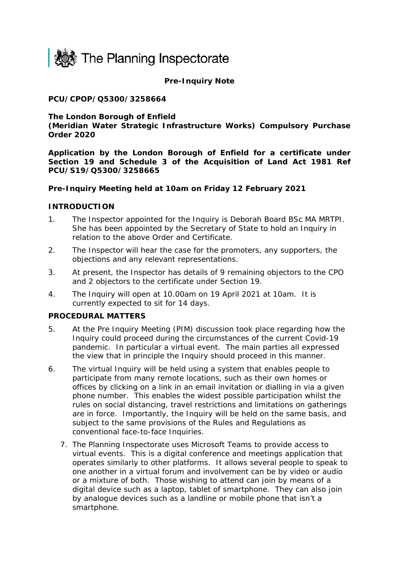

**Pre-Inquiry Note**

## **PCU/CPOP/Q5300/3258664**

### **The London Borough of Enfield**

**(Meridian Water Strategic Infrastructure Works) Compulsory Purchase Order 2020**

**Application by the London Borough of Enfield for a certificate under Section 19 and Schedule 3 of the Acquisition of Land Act 1981 Ref PCU/S19/Q5300/3258665**

### **Pre-Inquiry Meeting held at 10am on Friday 12 February 2021**

### **INTRODUCTION**

- 1. The Inspector appointed for the Inquiry is Deborah Board BSc MA MRTPI. She has been appointed by the Secretary of State to hold an Inquiry in relation to the above Order and Certificate.
- 2. The Inspector will hear the case for the promoters, any supporters, the objections and any relevant representations.
- 3. At present, the Inspector has details of 9 remaining objectors to the CPO and 2 objectors to the certificate under Section 19.
- 4. The Inquiry will open at 10.00am on 19 April 2021 at 10am. It is currently expected to sit for 14 days.

### **PROCEDURAL MATTERS**

- 5. At the Pre Inquiry Meeting (PIM) discussion took place regarding how the Inquiry could proceed during the circumstances of the current Covid-19 pandemic. In particular a virtual event. The main parties all expressed the view that in principle the Inquiry should proceed in this manner.
- 6. The virtual Inquiry will be held using a system that enables people to participate from many remote locations, such as their own homes or offices by clicking on a link in an email invitation or dialling in via a given phone number. This enables the widest possible participation whilst the rules on social distancing, travel restrictions and limitations on gatherings are in force. Importantly, the Inquiry will be held on the same basis, and subject to the same provisions of the Rules and Regulations as conventional face-to-face Inquiries.
	- 7. The Planning Inspectorate uses Microsoft Teams to provide access to virtual events. This is a digital conference and meetings application that operates similarly to other platforms. It allows several people to speak to one another in a virtual forum and involvement can be by video or audio or a mixture of both. Those wishing to attend can join by means of a digital device such as a laptop, tablet of smartphone. They can also join by analogue devices such as a landline or mobile phone that isn't a smartphone.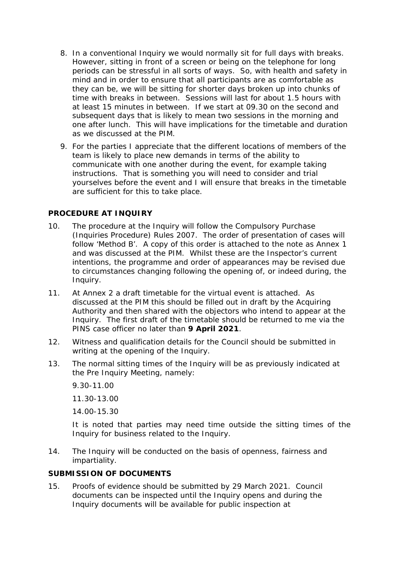- 8. In a conventional Inquiry we would normally sit for full days with breaks. However, sitting in front of a screen or being on the telephone for long periods can be stressful in all sorts of ways. So, with health and safety in mind and in order to ensure that all participants are as comfortable as they can be, we will be sitting for shorter days broken up into chunks of time with breaks in between. Sessions will last for about 1.5 hours with at least 15 minutes in between. If we start at 09.30 on the second and subsequent days that is likely to mean two sessions in the morning and one after lunch. This will have implications for the timetable and duration as we discussed at the PIM.
- 9. For the parties I appreciate that the different locations of members of the team is likely to place new demands in terms of the ability to communicate with one another during the event, for example taking instructions. That is something you will need to consider and trial yourselves before the event and I will ensure that breaks in the timetable are sufficient for this to take place.

## **PROCEDURE AT INQUIRY**

- 10. The procedure at the Inquiry will follow the Compulsory Purchase (Inquiries Procedure) Rules 2007. The order of presentation of cases will follow 'Method B'. A copy of this order is attached to the note as Annex 1 and was discussed at the PIM. Whilst these are the Inspector's current intentions, the programme and order of appearances may be revised due to circumstances changing following the opening of, or indeed during, the Inquiry.
- 11. At Annex 2 a draft timetable for the virtual event is attached. As discussed at the PIM this should be filled out in draft by the Acquiring Authority and then shared with the objectors who intend to appear at the Inquiry. The first draft of the timetable should be returned to me via the PINS case officer no later than **9 April 2021**.
- 12. Witness and qualification details for the Council should be submitted in writing at the opening of the Inquiry.
- 13. The normal sitting times of the Inquiry will be as previously indicated at the Pre Inquiry Meeting, namely:

9.30-11.00

11.30-13.00

14.00-15.30

It is noted that parties may need time outside the sitting times of the Inquiry for business related to the Inquiry.

14. The Inquiry will be conducted on the basis of openness, fairness and impartiality.

## **SUBMISSION OF DOCUMENTS**

15. Proofs of evidence should be submitted by 29 March 2021. Council documents can be inspected until the Inquiry opens and during the Inquiry documents will be available for public inspection at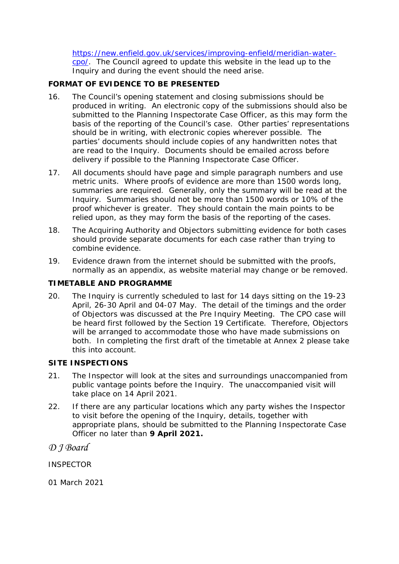[https://new.enfield.gov.uk/services/improving-enfield/meridian-water](https://new.enfield.gov.uk/services/improving-enfield/meridian-water-cpo/)[cpo/.](https://new.enfield.gov.uk/services/improving-enfield/meridian-water-cpo/) The Council agreed to update this website in the lead up to the Inquiry and during the event should the need arise.

# **FORMAT OF EVIDENCE TO BE PRESENTED**

- 16. The Council's opening statement and closing submissions should be produced in writing. An electronic copy of the submissions should also be submitted to the Planning Inspectorate Case Officer, as this may form the basis of the reporting of the Council's case. Other parties' representations should be in writing, with electronic copies wherever possible. The parties' documents should include copies of any handwritten notes that are read to the Inquiry. Documents should be emailed across before delivery if possible to the Planning Inspectorate Case Officer.
- 17. All documents should have page and simple paragraph numbers and use metric units. Where proofs of evidence are more than 1500 words long, summaries are required. Generally, only the summary will be read at the Inquiry. Summaries should not be more than 1500 words or 10% of the proof whichever is greater. They should contain the main points to be relied upon, as they may form the basis of the reporting of the cases.
- 18. The Acquiring Authority and Objectors submitting evidence for both cases should provide separate documents for each case rather than trying to combine evidence.
- 19. Evidence drawn from the internet should be submitted with the proofs, normally as an appendix, as website material may change or be removed.

## **TIMETABLE AND PROGRAMME**

20. The Inquiry is currently scheduled to last for 14 days sitting on the 19-23 April, 26-30 April and 04-07 May. The detail of the timings and the order of Objectors was discussed at the Pre Inquiry Meeting. The CPO case will be heard first followed by the Section 19 Certificate. Therefore, Objectors will be arranged to accommodate those who have made submissions on both. In completing the first draft of the timetable at Annex 2 please take this into account.

## **SITE INSPECTIONS**

- 21. The Inspector will look at the sites and surroundings unaccompanied from public vantage points before the Inquiry. The unaccompanied visit will take place on 14 April 2021.
- 22. If there are any particular locations which any party wishes the Inspector to visit before the opening of the Inquiry, details, together with appropriate plans, should be submitted to the Planning Inspectorate Case Officer no later than **9 April 2021.**

*D J Board*

**INSPECTOR** 

01 March 2021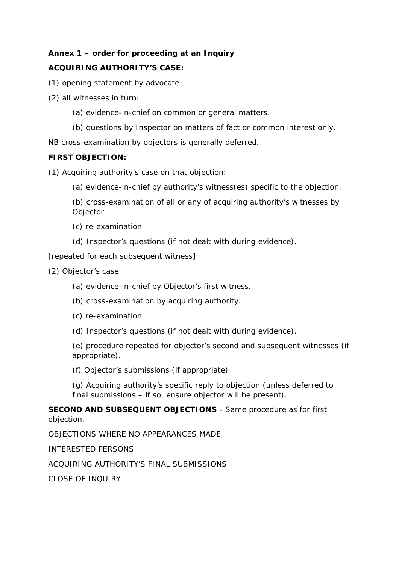# **Annex 1 – order for proceeding at an Inquiry**

## **ACQUIRING AUTHORITY'S CASE:**

- (1) opening statement by advocate
- (2) all witnesses in turn:
	- (a) evidence-in-chief on common or general matters.
	- (b) questions by Inspector on matters of fact or common interest only.

*NB cross-examination by objectors is generally deferred.* 

### **FIRST OBJECTION:**

(1) Acquiring authority's case on that objection:

(a) evidence-in-chief by authority's witness(es) specific to the objection.

(b) cross-examination of all or any of acquiring authority's witnesses by **Objector** 

- (c) re-examination
- (d) Inspector's questions (if not dealt with during evidence).

[repeated for each subsequent witness]

(2) Objector's case:

- (a) evidence-in-chief by Objector's first witness.
- (b) cross-examination by acquiring authority.
- (c) re-examination
- (d) Inspector's questions (if not dealt with during evidence).

(e) procedure repeated for objector's second and subsequent witnesses (if appropriate).

(f) Objector's submissions (if appropriate)

(g) Acquiring authority's specific reply to objection (unless deferred to final submissions – if so, ensure objector will be present).

**SECOND AND SUBSEQUENT OBJECTIONS** - Same procedure as for first objection.

OBJECTIONS WHERE NO APPEARANCES MADE

INTERESTED PERSONS

ACQUIRING AUTHORITY'S FINAL SUBMISSIONS

CLOSE OF INQUIRY